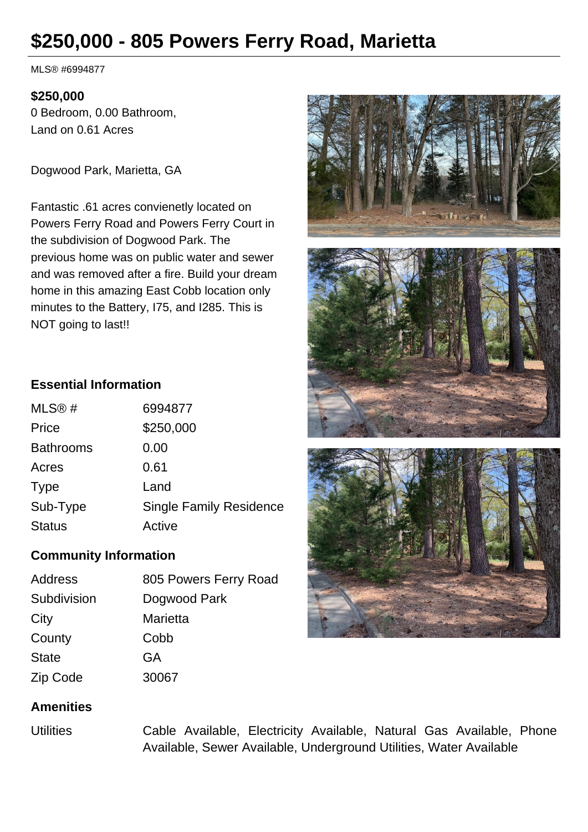## **\$250,000 - 805 Powers Ferry Road, Marietta**

MLS® #6994877

## **\$250,000**

0 Bedroom, 0.00 Bathroom, Land on 0.61 Acres

Dogwood Park, Marietta, GA

Fantastic .61 acres convienetly located on Powers Ferry Road and Powers Ferry Court in the subdivision of Dogwood Park. The previous home was on public water and sewer and was removed after a fire. Build your dream home in this amazing East Cobb location only minutes to the Battery, I75, and I285. This is NOT going to last!!

## **Essential Information**

| 6994877                        |
|--------------------------------|
| \$250,000                      |
| 0.00                           |
| 0.61                           |
| Land                           |
| <b>Single Family Residence</b> |
| Active                         |
|                                |

## **Community Information**

| <b>Address</b> | 805 Powers Ferry Road |
|----------------|-----------------------|
| Subdivision    | Dogwood Park          |
| City           | Marietta              |
| County         | Cobb                  |
| <b>State</b>   | GA                    |
| Zip Code       | 30067                 |



Utilities Cable Available, Electricity Available, Natural Gas Available, Phone Available, Sewer Available, Underground Utilities, Water Available